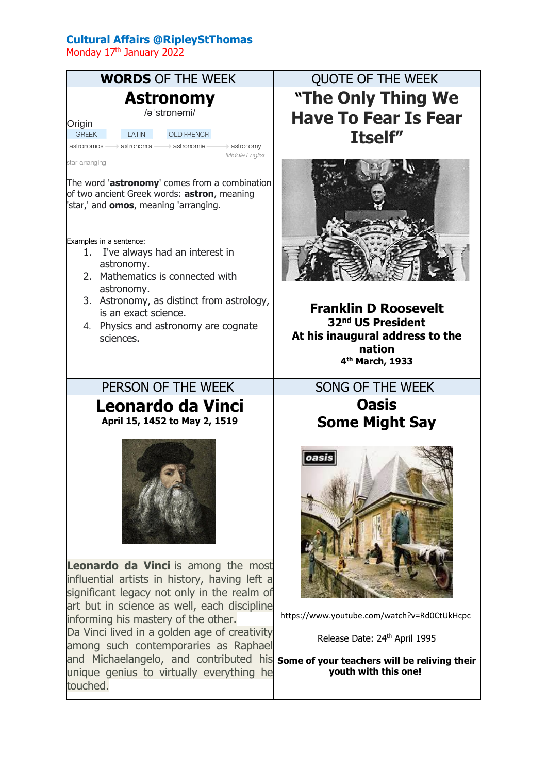## **Cultural Affairs @RipleyStThomas**

Monday 17<sup>th</sup> January 2022



**"The Only Thing We Have To Fear Is Fear Itself"**



**Franklin D Roosevelt 32nd US President At his inaugural address to the nation 4 th March, 1933**

**Oasis Some Might Say**



https://www.youtube.com/watch?v=Rd0CtUkHcpc

Release Date: 24th April 1995

**youth with this one!**